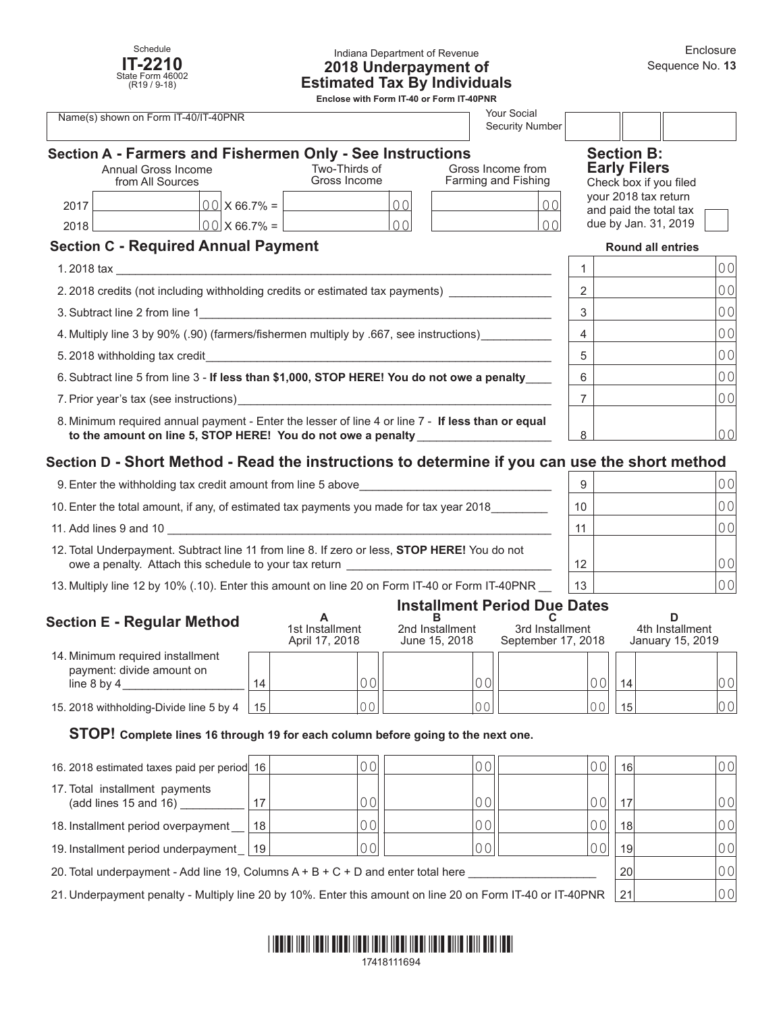

#### Indiana Department of Revenue **2018 Underpayment of Estimated Tax By Individuals**

**Enclose with Form IT-40 or Form IT-40PNR**

| Your Social<br>Name(s) shown on Form IT-40/IT-40PNR<br><b>Security Number</b>                                                                                                                                                                                    |                      |                               |                                                           |                                          |               |                                               |                                                |                |  |  |
|------------------------------------------------------------------------------------------------------------------------------------------------------------------------------------------------------------------------------------------------------------------|----------------------|-------------------------------|-----------------------------------------------------------|------------------------------------------|---------------|-----------------------------------------------|------------------------------------------------|----------------|--|--|
|                                                                                                                                                                                                                                                                  |                      |                               | Section A - Farmers and Fishermen Only - See Instructions |                                          |               |                                               | <b>Section B:</b>                              |                |  |  |
| Annual Gross Income<br>from All Sources                                                                                                                                                                                                                          |                      | Two-Thirds of<br>Gross Income |                                                           | Gross Income from<br>Farming and Fishing |               | <b>Early Filers</b><br>Check box if you filed |                                                |                |  |  |
| 2017                                                                                                                                                                                                                                                             |                      | $00 \times 66.7\% =$          | 00                                                        |                                          | 00            |                                               | your 2018 tax return<br>and paid the total tax |                |  |  |
| 2018                                                                                                                                                                                                                                                             | $ 00 $ X 66.7% = $ $ |                               | 0 <sup>0</sup>                                            |                                          | $\cap$ $\cap$ |                                               | due by Jan. 31, 2019                           |                |  |  |
| <b>Section C - Required Annual Payment</b>                                                                                                                                                                                                                       |                      |                               |                                                           |                                          |               | <b>Round all entries</b>                      |                                                |                |  |  |
| $1.2018$ tax and $\sim$ 1.5 $\mu$ and $\sim$ 1.5 $\mu$ and $\sim$ 1.5 $\mu$ and $\sim$ 1.5 $\mu$ and $\sim$ 1.5 $\mu$ and $\sim$ 1.5 $\mu$ and $\sim$ 1.5 $\mu$ and $\sim$ 1.5 $\mu$ and $\sim$ 1.5 $\mu$ and $\sim$ 1.5 $\mu$ and $\sim$ 1.5 $\mu$ and $\sim$ 1 |                      |                               |                                                           |                                          |               |                                               |                                                | 00             |  |  |
| 2.2018 credits (not including withholding credits or estimated tax payments)                                                                                                                                                                                     |                      |                               |                                                           |                                          | $\mathcal{P}$ |                                               | 0 <sub>0</sub>                                 |                |  |  |
|                                                                                                                                                                                                                                                                  |                      |                               |                                                           |                                          |               | 3                                             |                                                | 0 <sub>0</sub> |  |  |
| 4. Multiply line 3 by 90% (.90) (farmers/fishermen multiply by .667, see instructions)                                                                                                                                                                           |                      |                               |                                                           |                                          |               | 4                                             |                                                | 0 <sub>0</sub> |  |  |
|                                                                                                                                                                                                                                                                  |                      |                               |                                                           |                                          | 5             |                                               | 0 <sub>0</sub>                                 |                |  |  |
| 6. Subtract line 5 from line 3 - If less than \$1,000, STOP HERE! You do not owe a penalty                                                                                                                                                                       |                      |                               |                                                           |                                          |               | 6                                             |                                                | 0 <sub>0</sub> |  |  |
|                                                                                                                                                                                                                                                                  |                      |                               |                                                           |                                          | 7             |                                               | 0 <sup>0</sup>                                 |                |  |  |
| 8. Minimum required annual payment - Enter the lesser of line 4 or line 7 - If less than or equal<br>to the amount on line 5, STOP HERE! You do not owe a penalty                                                                                                |                      |                               |                                                           | 8                                        |               | 0 <sup>0</sup>                                |                                                |                |  |  |

# **Section D - Short Method - Read the instructions to determine if you can use the short method**

| 9. Enter the withholding tax credit amount from line 5 above                                                                                           | 9  | 0 O I          |
|--------------------------------------------------------------------------------------------------------------------------------------------------------|----|----------------|
| 10. Enter the total amount, if any, of estimated tax payments you made for tax year 2018                                                               | 10 | 0 <sup>0</sup> |
| 11. Add lines 9 and 10                                                                                                                                 | 11 |                |
| 12. Total Underpayment. Subtract line 11 from line 8. If zero or less, STOP HERE! You do not<br>owe a penalty. Attach this schedule to your tax return | 12 | 001            |
| 13. Multiply line 12 by 10% (.10). Enter this amount on line 20 on Form IT-40 or Form IT-40PNR                                                         | 13 | 00             |

## **Installment Period Due Dates**

| <b>Section E - Regular Method</b>                                                |                 | 1st Installment<br>April 17, 2018 | 2nd Installment<br>June 15, 2018 | 3rd Installment<br>September 17, 2018 |    | 4th Installment<br>January 15, 2019 |  |
|----------------------------------------------------------------------------------|-----------------|-----------------------------------|----------------------------------|---------------------------------------|----|-------------------------------------|--|
| 14. Minimum required installment<br>payment: divide amount on<br>line $8$ by $4$ | 14              |                                   |                                  | $\bigcap$                             | 14 | 00                                  |  |
| 15. 2018 withholding-Divide line 5 by 4                                          | 15 <sup>1</sup> |                                   |                                  | $\cap$ $\cap$                         | 15 | 00                                  |  |

#### **STOP! Complete lines 16 through 19 for each column before going to the next one.**

| 16. 2018 estimated taxes paid per period 16                                                                |    |    |                | 001 | 16 <sup>1</sup> | 00 |
|------------------------------------------------------------------------------------------------------------|----|----|----------------|-----|-----------------|----|
| 17. Total installment payments<br>(add lines 15 and 16)                                                    |    | 00 | 0 <sub>0</sub> | 001 | 17              | 00 |
| 18. Installment period overpayment                                                                         | 18 |    | 00             | 001 | 18              | 00 |
| 19. Installment period underpayment   19                                                                   |    | 00 |                | 00  | 19 <sup>1</sup> | 00 |
| 20. Total underpayment - Add line 19, Columns $A + B + C + D$ and enter total here                         |    |    |                |     | 20              | 00 |
| 21. Underpayment penalty - Multiply line 20 by 10%. Enter this amount on line 20 on Form IT-40 or IT-40PNR |    |    |                |     | 21              | 00 |

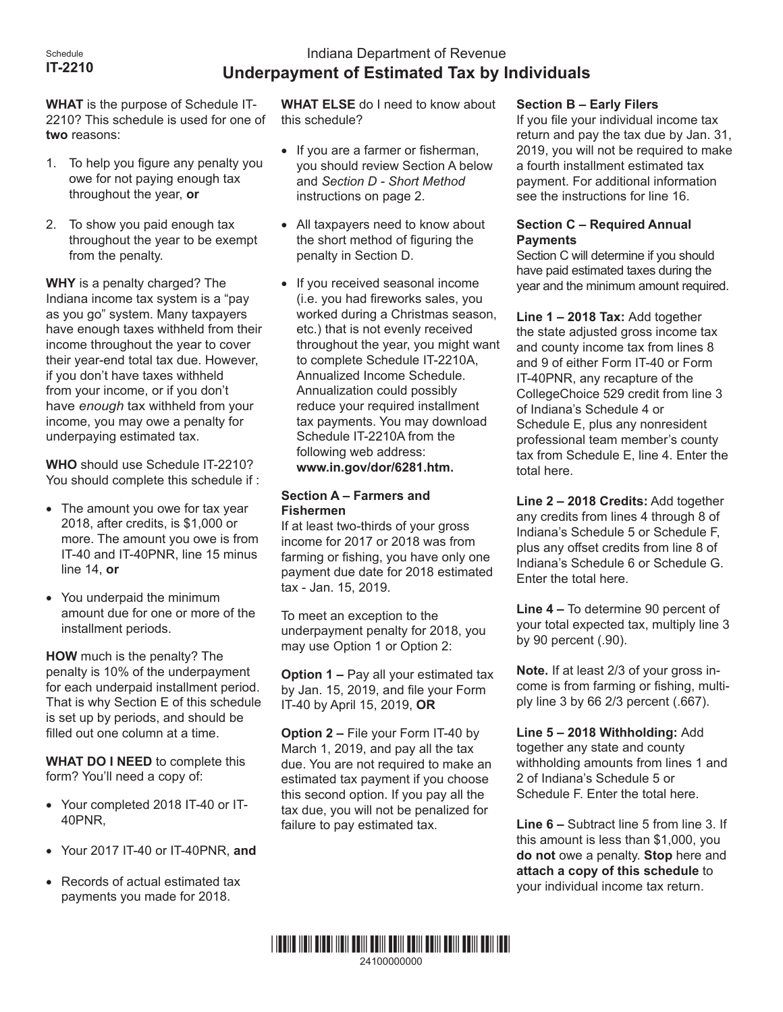# Indiana Department of Revenue **Underpayment of Estimated Tax by Individuals**

**WHAT** is the purpose of Schedule IT-2210? This schedule is used for one of **two** reasons:

- 1. To help you figure any penalty you owe for not paying enough tax throughout the year, **or**
- 2. To show you paid enough tax throughout the year to be exempt from the penalty.

**WHY** is a penalty charged? The Indiana income tax system is a "pay as you go" system. Many taxpayers have enough taxes withheld from their income throughout the year to cover their year-end total tax due. However, if you don't have taxes withheld from your income, or if you don't have *enough* tax withheld from your income, you may owe a penalty for underpaying estimated tax.

**WHO** should use Schedule IT-2210? You should complete this schedule if :

- The amount you owe for tax year 2018, after credits, is \$1,000 or more. The amount you owe is from IT-40 and IT-40PNR, line 15 minus line 14, **or**
- • You underpaid the minimum amount due for one or more of the installment periods.

**HOW** much is the penalty? The penalty is 10% of the underpayment for each underpaid installment period. That is why Section E of this schedule is set up by periods, and should be filled out one column at a time.

**WHAT DO I NEED** to complete this form? You'll need a copy of:

- • Your completed 2018 IT-40 or IT-40PNR,
- • Your 2017 IT-40 or IT-40PNR, **and**
- • Records of actual estimated tax payments you made for 2018.

**WHAT ELSE** do I need to know about this schedule?

- If you are a farmer or fisherman, you should review Section A below and *Section D - Short Method* instructions on page 2.
- All taxpayers need to know about the short method of figuring the penalty in Section D.
- If you received seasonal income (i.e. you had fireworks sales, you worked during a Christmas season, etc.) that is not evenly received throughout the year, you might want to complete Schedule IT-2210A, Annualized Income Schedule. Annualization could possibly reduce your required installment tax payments. You may download Schedule IT-2210A from the f[ollowing web address:](http://www.in.gov/dor/5333.htm)  **www.in.gov/dor/6281.htm.**

## **Section A – Farmers and Fishermen**

If at least two-thirds of your gross income for 2017 or 2018 was from farming or fishing, you have only one payment due date for 2018 estimated tax - Jan. 15, 2019.

To meet an exception to the underpayment penalty for 2018, you may use Option 1 or Option 2:

**Option 1 –** Pay all your estimated tax by Jan. 15, 2019, and file your Form IT-40 by April 15, 2019, **OR**

**Option 2 –** File your Form IT-40 by March 1, 2019, and pay all the tax due. You are not required to make an estimated tax payment if you choose this second option. If you pay all the tax due, you will not be penalized for failure to pay estimated tax.

\*24100000000\* 24100000000

# **Section B – Early Filers**

If you file your individual income tax return and pay the tax due by Jan. 31, 2019, you will not be required to make a fourth installment estimated tax payment. For additional information see the instructions for line 16.

## **Section C – Required Annual Payments**

Section C will determine if you should have paid estimated taxes during the year and the minimum amount required.

**Line 1 – 2018 Tax:** Add together the state adjusted gross income tax and county income tax from lines 8 and 9 of either Form IT-40 or Form IT-40PNR, any recapture of the CollegeChoice 529 credit from line 3 of Indiana's Schedule 4 or Schedule E, plus any nonresident professional team member's county tax from Schedule E, line 4. Enter the total here.

**Line 2 – 2018 Credits:** Add together any credits from lines 4 through 8 of Indiana's Schedule 5 or Schedule F, plus any offset credits from line 8 of Indiana's Schedule 6 or Schedule G. Enter the total here.

**Line 4 –** To determine 90 percent of your total expected tax, multiply line 3 by 90 percent (.90).

**Note.** If at least 2/3 of your gross income is from farming or fishing, multiply line 3 by 66 2/3 percent (.667).

**Line 5 – 2018 Withholding:** Add together any state and county withholding amounts from lines 1 and 2 of Indiana's Schedule 5 or Schedule F. Enter the total here.

**Line 6 –** Subtract line 5 from line 3. If this amount is less than \$1,000, you **do not** owe a penalty. **Stop** here and **attach a copy of this schedule** to your individual income tax return.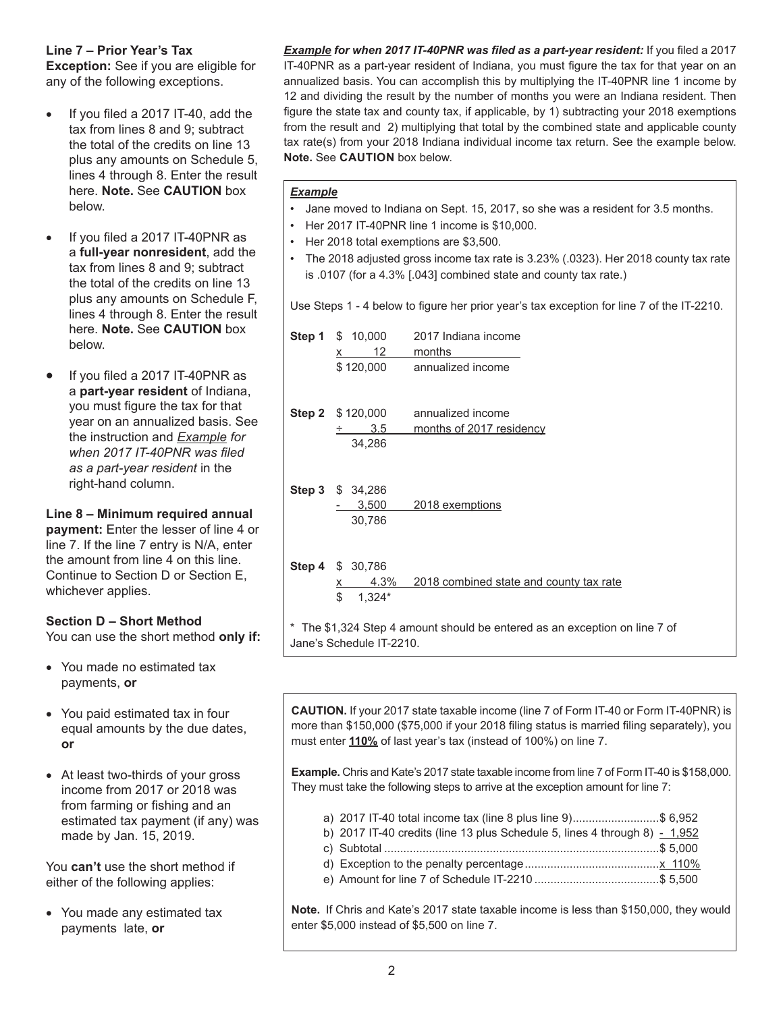## **Line 7 – Prior Year's Tax**

**Exception:** See if you are eligible for any of the following exceptions.

- If you filed a  $2017$  IT-40, add the tax from lines 8 and 9; subtract the total of the credits on line 13 plus any amounts on Schedule 5, lines 4 through 8. Enter the result here. **Note.** See **CAUTION** box below.
- If you filed a 2017 IT-40PNR as a **full-year nonresident**, add the tax from lines 8 and 9; subtract the total of the credits on line 13 plus any amounts on Schedule F, lines 4 through 8. Enter the result here. **Note.** See **CAUTION** box below.
- If you filed a 2017 IT-40PNR as a **part-year resident** of Indiana, you must figure the tax for that year on an annualized basis. See the instruction and *Example for when 2017 IT-40PNR was filed as a part-year resident* in the right-hand column.

**Line 8 – Minimum required annual payment:** Enter the lesser of line 4 or line 7. If the line 7 entry is N/A, enter the amount from line 4 on this line. Continue to Section D or Section E, whichever applies.

# **Section D – Short Method**

You can use the short method **only if:**

- You made no estimated tax payments, **or**
- You paid estimated tax in four equal amounts by the due dates, **or**
- At least two-thirds of your gross income from 2017 or 2018 was from farming or fishing and an estimated tax payment (if any) was made by Jan. 15, 2019.

You **can't** use the short method if either of the following applies:

• You made any estimated tax payments late, **or**

*Example for when 2017 IT-40PNR was filed as a part-year resident:* If you filed a 2017 IT-40PNR as a part-year resident of Indiana, you must figure the tax for that year on an annualized basis. You can accomplish this by multiplying the IT-40PNR line 1 income by 12 and dividing the result by the number of months you were an Indiana resident. Then figure the state tax and county tax, if applicable, by 1) subtracting your 2018 exemptions from the result and 2) multiplying that total by the combined state and applicable county tax rate(s) from your 2018 Indiana individual income tax return. See the example below. **Note.** See **CAUTION** box below.

#### *Example*

- Jane moved to Indiana on Sept. 15, 2017, so she was a resident for 3.5 months.
- Her 2017 IT-40PNR line 1 income is \$10,000.
- Her 2018 total exemptions are \$3,500.
- The 2018 adjusted gross income tax rate is 3.23% (.0323). Her 2018 county tax rate is .0107 (for a 4.3% [.043] combined state and county tax rate.)

Use Steps 1 - 4 below to figure her prior year's tax exception for line 7 of the IT-2210.

| <b>Step 1</b> $$ 10,000$<br>12<br>X. | 2017 Indiana income<br>months                                              |
|--------------------------------------|----------------------------------------------------------------------------|
| \$120,000                            | annualized income                                                          |
| <b>Step 2</b> $$120,000$             | annualized income                                                          |
| 3.5                                  | months of 2017 residency                                                   |
| 34,286                               |                                                                            |
| <b>Step 3</b> $$34,286$              |                                                                            |
| 3,500                                | 2018 exemptions                                                            |
| 30,786                               |                                                                            |
| Step 4 \$ 30,786                     |                                                                            |
| 4.3%<br>x                            | 2018 combined state and county tax rate                                    |
| \$<br>$1,324*$                       |                                                                            |
|                                      | * The \$1,324 Step 4 amount should be entered as an exception on line 7 of |

**CAUTION.** If your 2017 state taxable income (line 7 of Form IT-40 or Form IT-40PNR) is more than \$150,000 (\$75,000 if your 2018 filing status is married filing separately), you must enter **110%** of last year's tax (instead of 100%) on line 7.

**Example.** Chris and Kate's 2017 state taxable income from line 7 of Form IT-40 is \$158,000. They must take the following steps to arrive at the exception amount for line 7:

- a) 2017 IT-40 total income tax (line 8 plus line 9)...........................\$ 6,952
- b) 2017 IT-40 credits (line 13 plus Schedule 5, lines 4 through 8)  $-1,952$
- c) Subtotal ......................................................................................\$ 5,000
- d) Exception to the penalty percentage..........................................x 110%
- e) Amount for line 7 of Schedule IT-2210 .......................................\$ 5,500

**Note.** If Chris and Kate's 2017 state taxable income is less than \$150,000, they would enter \$5,000 instead of \$5,500 on line 7.

Jane's Schedule IT-2210.